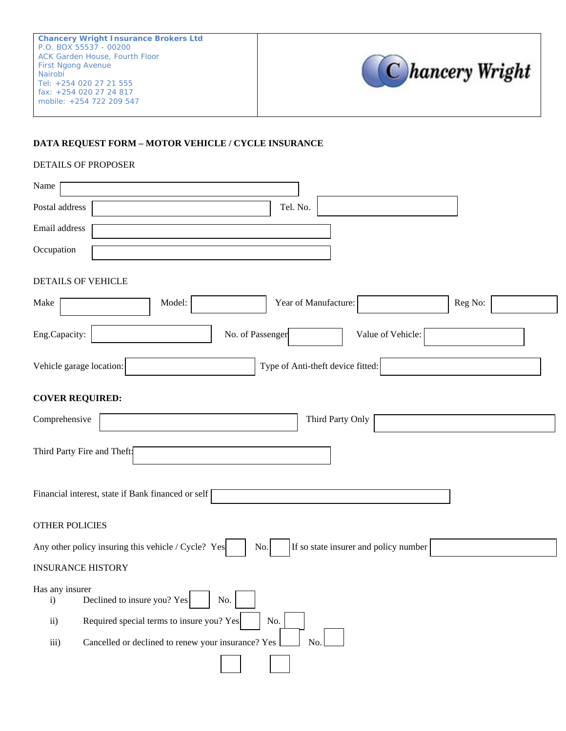

## **DATA REQUEST FORM – MOTOR VEHICLE / CYCLE INSURANCE**

## DETAILS OF PROPOSER

| Name                                                                                                |  |  |  |
|-----------------------------------------------------------------------------------------------------|--|--|--|
| Postal address<br>Tel. No.                                                                          |  |  |  |
| Email address                                                                                       |  |  |  |
| Occupation                                                                                          |  |  |  |
| DETAILS OF VEHICLE                                                                                  |  |  |  |
| Year of Manufacture:<br>Model:<br>Reg No:<br>Make                                                   |  |  |  |
| Eng.Capacity:<br>No. of Passenger<br>Value of Vehicle:                                              |  |  |  |
| Vehicle garage location:<br>Type of Anti-theft device fitted:                                       |  |  |  |
| <b>COVER REQUIRED:</b>                                                                              |  |  |  |
| Comprehensive<br>Third Party Only                                                                   |  |  |  |
| Third Party Fire and Theft:                                                                         |  |  |  |
| Financial interest, state if Bank financed or self                                                  |  |  |  |
| <b>OTHER POLICIES</b>                                                                               |  |  |  |
| Any other policy insuring this vehicle / Cycle? Yes<br>If so state insurer and policy number<br>No. |  |  |  |
| <b>INSURANCE HISTORY</b>                                                                            |  |  |  |
| Has any insurer<br>┍<br>Declined to insure you? Yes<br>No.<br>$\mathbf{i}$                          |  |  |  |
| Required special terms to insure you? Yes<br>No.<br>$\mathbf{ii}$                                   |  |  |  |
| Cancelled or declined to renew your insurance? Yes<br>No.<br>iii)                                   |  |  |  |
|                                                                                                     |  |  |  |